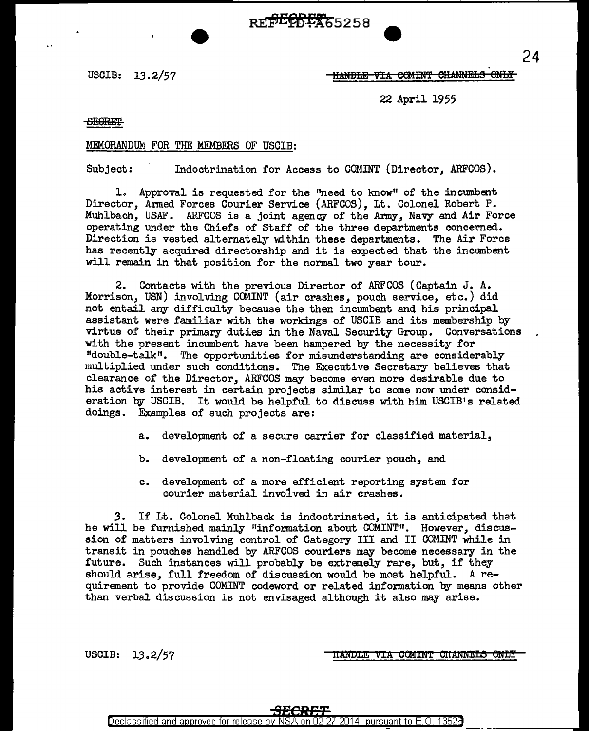BERECKETES258

## USCIB: 13.2/57 **HANDLE VIA COMINT CHANNELS ONLY**

22 April 1955

## **SECRET SECRET**

## MEMORANDUM. FOR THE MEMBERS OF USCIB:

Subject: Indoctrination for Access to COMINT (Director, ARFCOS).

1. Approval is requested for the "need to know" of the incumbent Director, Armed Forces Courier Service (ARFCOS), Lt. Colonel Robert P. Muhlbach, USAF. ARFCOS is a joint agency of the Army, Navy and Air Force operating under the Chiefs of Staff of the three departments concerned. Direction is vested alternately within these departments. The Air Force has recently acquired directorship and it is expected that the incumbent will remain in that position for the normal two year tour.

2. Contacts with the previous Director of ARFCOS (Captain J. A. Morrison, USN) involving CCMINT (air crashes, pouch service, etc.) did not entail any difficulty because the then incumbent and his principal assistant were familiar with the workings of USCIB and its membership by virtue of their primary duties in the Naval Security Group. Conversations with the present incumbent have been hampered by the necessity for "double-talk". The opportunities for misunderstanding are considerably multiplied under such conditions. The Executive Secretary believes that clearance of the Director, ARFCOS may become even more desirable due to his active interest in certain projects similar to some now under consideration by USCIB. It would be helpful to discuss with him USCIB's related doings. Examples of such projects are:

- a. development of a secure carrier for classified material,
- b. development of a non-floating courier pouch, and
- c. development of a more efficient reporting system for courier material involved in air crashes.

*3.* If Lt. Colonel Muhlback is indoctrinated, it is anticipated that he will be furnished mainly "information about COMINT". However, discussion of matters involving control of Category III and II COMINT while in transit in pouches handled by ARFCOS couriers may become necessary in the future. Such instances will probably be extremely rare, but, if they should arise, full freedom of discussion would be most helpful. A requirement to provide COMINT codeword or related information by means other than verbal discussion is not envisaged although it also may arise.

USCIB: 13.2/57 E: E:ANDLE VIA COMINT CHANNELS ONLY